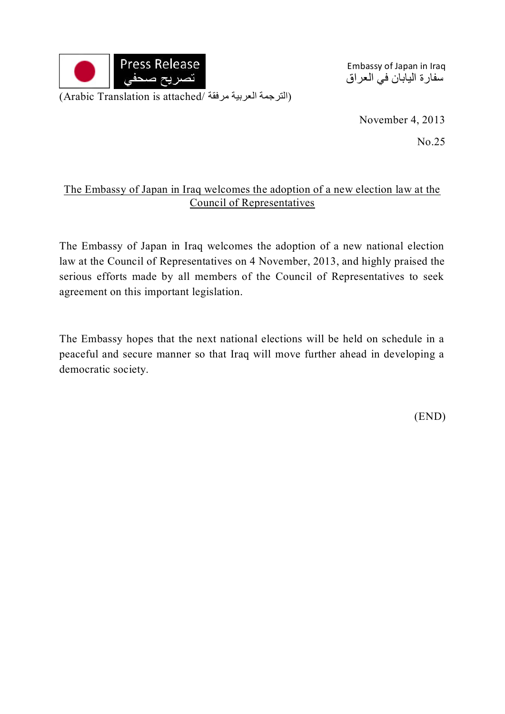

Embassy of Japan in Iraq سفارة اليابان في العراق

November 4, 2013

No.25

## The Embassy of Japan in Iraq welcomes the adoption of a new election law at the Council of Representatives

The Embassy of Japan in Iraq welcomes the adoption of a new national election law at the Council of Representatives on 4 November, 2013, and highly praised the serious efforts made by all members of the Council of Representatives to seek agreement on this important legislation.

The Embassy hopes that the next national elections will be held on schedule in a peaceful and secure manner so that Iraq will move further ahead in developing a democratic society.

(END)